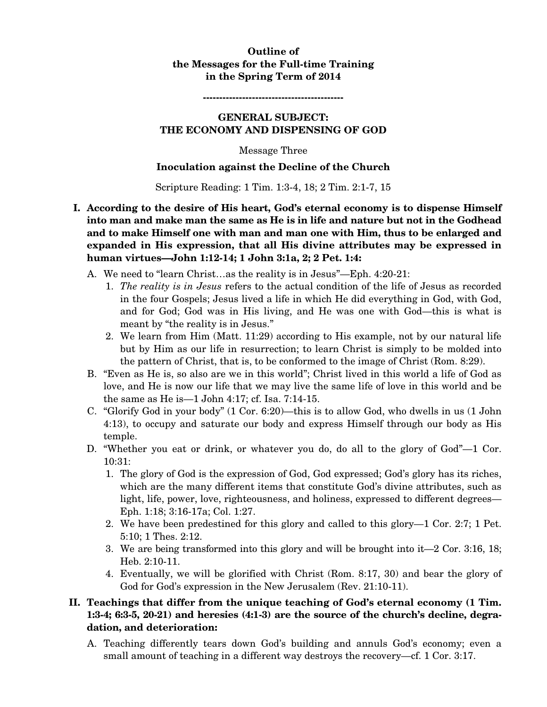## **Outline of the Messages for the Full-time Training in the Spring Term of 2014**

**-------------------------------------------** 

### **GENERAL SUBJECT: THE ECONOMY AND DISPENSING OF GOD**

Message Three

### **Inoculation against the Decline of the Church**

Scripture Reading: 1 Tim. 1:3-4, 18; 2 Tim. 2:1-7, 15

- **I. According to the desire of His heart, God's eternal economy is to dispense Himself into man and make man the same as He is in life and nature but not in the Godhead and to make Himself one with man and man one with Him, thus to be enlarged and expanded in His expression, that all His divine attributes may be expressed in human virtues—John 1:12-14; 1 John 3:1a, 2; 2 Pet. 1:4:** 
	- A. We need to "learn Christ…as the reality is in Jesus"—Eph. 4:20-21:
		- 1. *The reality is in Jesus* refers to the actual condition of the life of Jesus as recorded in the four Gospels; Jesus lived a life in which He did everything in God, with God, and for God; God was in His living, and He was one with God—this is what is meant by "the reality is in Jesus."
		- 2. We learn from Him (Matt. 11:29) according to His example, not by our natural life but by Him as our life in resurrection; to learn Christ is simply to be molded into the pattern of Christ, that is, to be conformed to the image of Christ (Rom. 8:29).
	- B. "Even as He is, so also are we in this world"; Christ lived in this world a life of God as love, and He is now our life that we may live the same life of love in this world and be the same as He is—1 John 4:17; cf. Isa. 7:14-15.
	- C. "Glorify God in your body" (1 Cor. 6:20)—this is to allow God, who dwells in us (1 John 4:13), to occupy and saturate our body and express Himself through our body as His temple.
	- D. "Whether you eat or drink, or whatever you do, do all to the glory of God"—1 Cor. 10:31:
		- 1. The glory of God is the expression of God, God expressed; God's glory has its riches, which are the many different items that constitute God's divine attributes, such as light, life, power, love, righteousness, and holiness, expressed to different degrees— Eph. 1:18; 3:16-17a; Col. 1:27.
		- 2. We have been predestined for this glory and called to this glory—1 Cor. 2:7; 1 Pet. 5:10; 1 Thes. 2:12.
		- 3. We are being transformed into this glory and will be brought into it—2 Cor. 3:16, 18; Heb. 2:10-11.
		- 4. Eventually, we will be glorified with Christ (Rom. 8:17, 30) and bear the glory of God for God's expression in the New Jerusalem (Rev. 21:10-11).

# **II. Teachings that differ from the unique teaching of God's eternal economy (1 Tim. 1:3-4; 6:3-5, 20-21) and heresies (4:1-3) are the source of the church's decline, degradation, and deterioration:**

A. Teaching differently tears down God's building and annuls God's economy; even a small amount of teaching in a different way destroys the recovery—cf. 1 Cor. 3:17.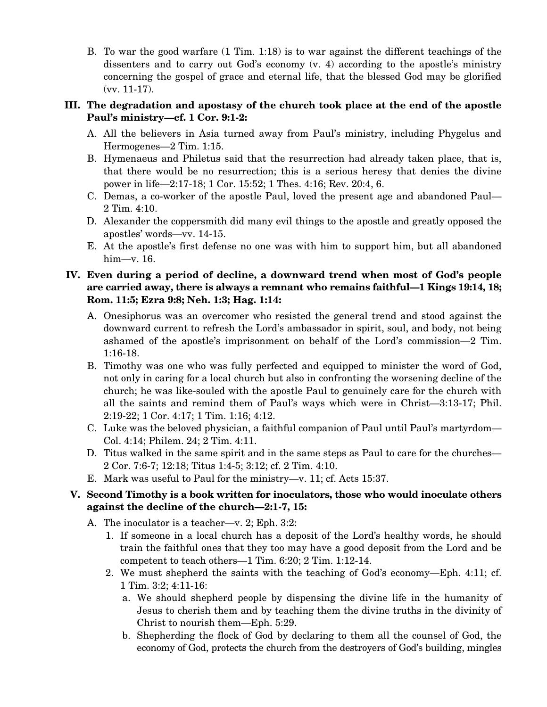B. To war the good warfare (1 Tim. 1:18) is to war against the different teachings of the dissenters and to carry out God's economy (v. 4) according to the apostle's ministry concerning the gospel of grace and eternal life, that the blessed God may be glorified (vv. 11-17).

## **III. The degradation and apostasy of the church took place at the end of the apostle Paul's ministry—cf. 1 Cor. 9:1-2:**

- A. All the believers in Asia turned away from Paul's ministry, including Phygelus and Hermogenes—2 Tim. 1:15.
- B. Hymenaeus and Philetus said that the resurrection had already taken place, that is, that there would be no resurrection; this is a serious heresy that denies the divine power in life—2:17-18; 1 Cor. 15:52; 1 Thes. 4:16; Rev. 20:4, 6.
- C. Demas, a co-worker of the apostle Paul, loved the present age and abandoned Paul— 2 Tim. 4:10.
- D. Alexander the coppersmith did many evil things to the apostle and greatly opposed the apostles' words—vv. 14-15.
- E. At the apostle's first defense no one was with him to support him, but all abandoned him—v. 16.

# **IV. Even during a period of decline, a downward trend when most of God's people are carried away, there is always a remnant who remains faithful—1 Kings 19:14, 18; Rom. 11:5; Ezra 9:8; Neh. 1:3; Hag. 1:14:**

- A. Onesiphorus was an overcomer who resisted the general trend and stood against the downward current to refresh the Lord's ambassador in spirit, soul, and body, not being ashamed of the apostle's imprisonment on behalf of the Lord's commission—2 Tim. 1:16-18.
- B. Timothy was one who was fully perfected and equipped to minister the word of God, not only in caring for a local church but also in confronting the worsening decline of the church; he was like-souled with the apostle Paul to genuinely care for the church with all the saints and remind them of Paul's ways which were in Christ—3:13-17; Phil. 2:19-22; 1 Cor. 4:17; 1 Tim. 1:16; 4:12.
- C. Luke was the beloved physician, a faithful companion of Paul until Paul's martyrdom— Col. 4:14; Philem. 24; 2 Tim. 4:11.
- D. Titus walked in the same spirit and in the same steps as Paul to care for the churches— 2 Cor. 7:6-7; 12:18; Titus 1:4-5; 3:12; cf. 2 Tim. 4:10.
- E. Mark was useful to Paul for the ministry—v. 11; cf. Acts 15:37.

# **V. Second Timothy is a book written for inoculators, those who would inoculate others against the decline of the church—2:1-7, 15:**

- A. The inoculator is a teacher—v. 2; Eph. 3:2:
	- 1. If someone in a local church has a deposit of the Lord's healthy words, he should train the faithful ones that they too may have a good deposit from the Lord and be competent to teach others—1 Tim. 6:20; 2 Tim. 1:12-14.
	- 2. We must shepherd the saints with the teaching of God's economy—Eph. 4:11; cf. 1 Tim. 3:2; 4:11-16:
		- a. We should shepherd people by dispensing the divine life in the humanity of Jesus to cherish them and by teaching them the divine truths in the divinity of Christ to nourish them—Eph. 5:29.
		- b. Shepherding the flock of God by declaring to them all the counsel of God, the economy of God, protects the church from the destroyers of God's building, mingles